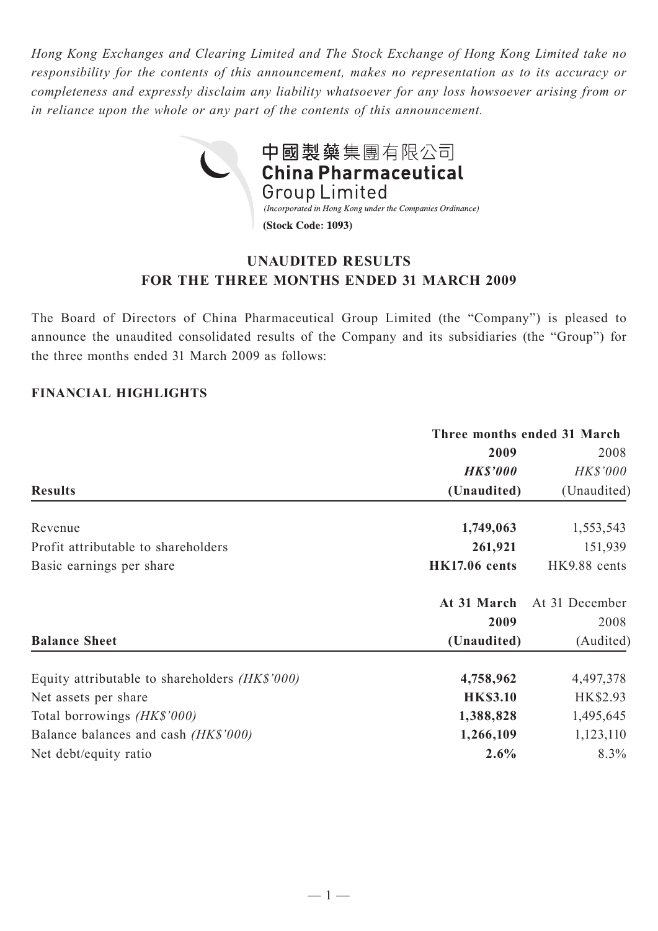*Hong Kong Exchanges and Clearing Limited and The Stock Exchange of Hong Kong Limited take no responsibility for the contents of this announcement, makes no representation as to its accuracy or completeness and expressly disclaim any liability whatsoever for any loss howsoever arising from or in reliance upon the whole or any part of the contents of this announcement.*



# **UNAUDITED RESULTS FOR THE THREE MONTHS ENDED 31 MARCH 2009**

The Board of Directors of China Pharmaceutical Group Limited (the "Company") is pleased to announce the unaudited consolidated results of the Company and its subsidiaries (the "Group") for the three months ended 31 March 2009 as follows:

## **FINANCIAL HIGHLIGHTS**

|                                                       | Three months ended 31 March |                |  |  |
|-------------------------------------------------------|-----------------------------|----------------|--|--|
|                                                       | 2009                        | 2008           |  |  |
|                                                       | <b>HK\$'000</b>             | HK\$'000       |  |  |
| <b>Results</b>                                        | (Unaudited)                 | (Unaudited)    |  |  |
| Revenue                                               | 1,749,063                   | 1,553,543      |  |  |
| Profit attributable to shareholders                   | 261,921                     | 151,939        |  |  |
| Basic earnings per share                              | <b>HK17.06</b> cents        | HK9.88 cents   |  |  |
|                                                       | At 31 March                 | At 31 December |  |  |
|                                                       | 2009                        | 2008           |  |  |
| <b>Balance Sheet</b>                                  | (Unaudited)                 | (Audited)      |  |  |
| Equity attributable to shareholders <i>(HK\$'000)</i> | 4,758,962                   | 4,497,378      |  |  |
| Net assets per share                                  | <b>HK\$3.10</b>             | HK\$2.93       |  |  |
| Total borrowings (HK\$'000)                           | 1,388,828                   | 1,495,645      |  |  |
| Balance balances and cash (HK\$'000)                  | 1,266,109                   | 1,123,110      |  |  |
| Net debt/equity ratio                                 | 2.6%                        | $8.3\%$        |  |  |
|                                                       |                             |                |  |  |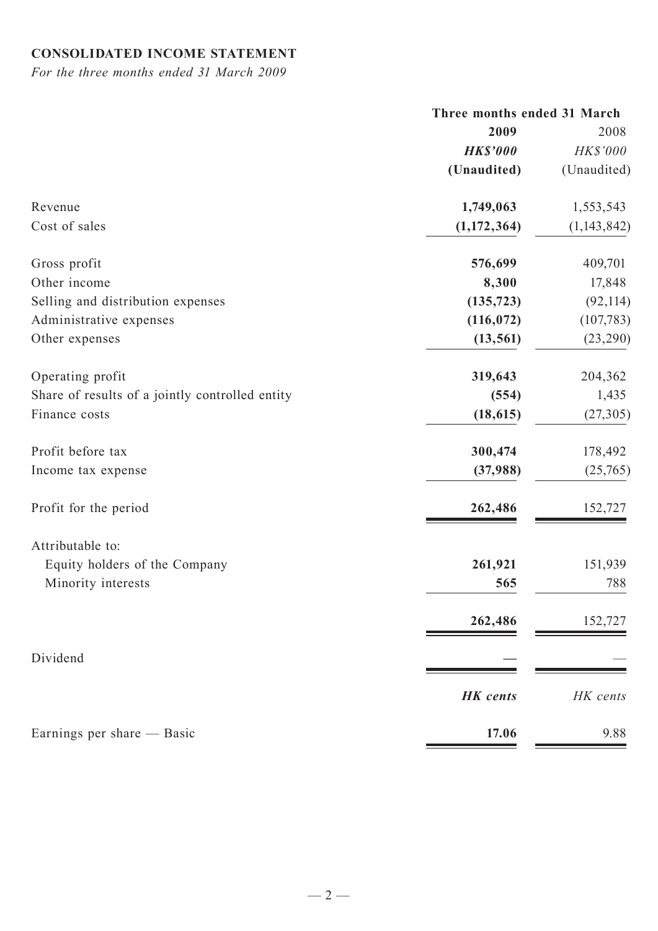# **CONSOLIDATED INCOME STATEMENT**

*For the three months ended 31 March 2009*

|                                                 | Three months ended 31 March |               |  |
|-------------------------------------------------|-----------------------------|---------------|--|
|                                                 | 2009                        | 2008          |  |
|                                                 | <b>HK\$'000</b>             | HK\$'000      |  |
|                                                 | (Unaudited)                 | (Unaudited)   |  |
| Revenue                                         | 1,749,063                   | 1,553,543     |  |
| Cost of sales                                   | (1,172,364)                 | (1, 143, 842) |  |
| Gross profit                                    | 576,699                     | 409,701       |  |
| Other income                                    | 8,300                       | 17,848        |  |
| Selling and distribution expenses               | (135, 723)                  | (92, 114)     |  |
| Administrative expenses                         | (116, 072)                  | (107, 783)    |  |
| Other expenses                                  | (13, 561)                   | (23, 290)     |  |
| Operating profit                                | 319,643                     | 204,362       |  |
| Share of results of a jointly controlled entity | (554)                       | 1,435         |  |
| Finance costs                                   | (18, 615)                   | (27, 305)     |  |
| Profit before tax                               | 300,474                     | 178,492       |  |
| Income tax expense                              | (37,988)                    | (25,765)      |  |
| Profit for the period                           | 262,486                     | 152,727       |  |
| Attributable to:                                |                             |               |  |
| Equity holders of the Company                   | 261,921                     | 151,939       |  |
| Minority interests                              | 565                         | 788           |  |
|                                                 | 262,486                     | 152,727       |  |
| Dividend                                        |                             |               |  |
|                                                 | <b>HK</b> cents             | HK cents      |  |
| Earnings per share — Basic                      | 17.06                       | 9.88          |  |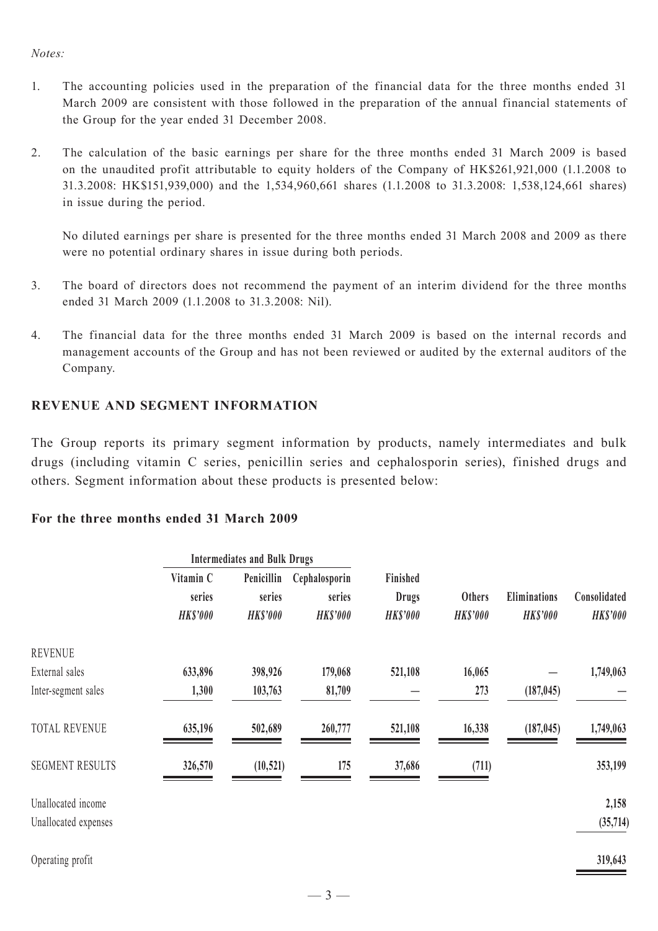#### *Notes:*

- 1. The accounting policies used in the preparation of the financial data for the three months ended 31 March 2009 are consistent with those followed in the preparation of the annual financial statements of the Group for the year ended 31 December 2008.
- 2. The calculation of the basic earnings per share for the three months ended 31 March 2009 is based on the unaudited profit attributable to equity holders of the Company of HK\$261,921,000 (1.1.2008 to 31.3.2008: HK\$151,939,000) and the 1,534,960,661 shares (1.1.2008 to 31.3.2008: 1,538,124,661 shares) in issue during the period.

 No diluted earnings per share is presented for the three months ended 31 March 2008 and 2009 as there were no potential ordinary shares in issue during both periods.

- 3. The board of directors does not recommend the payment of an interim dividend for the three months ended 31 March 2009 (1.1.2008 to 31.3.2008: Nil).
- 4. The financial data for the three months ended 31 March 2009 is based on the internal records and management accounts of the Group and has not been reviewed or audited by the external auditors of the Company.

# **REVENUE AND SEGMENT INFORMATION**

The Group reports its primary segment information by products, namely intermediates and bulk drugs (including vitamin C series, penicillin series and cephalosporin series), finished drugs and others. Segment information about these products is presented below:

#### **For the three months ended 31 March 2009**

|                        | <b>Intermediates and Bulk Drugs</b>    |                                         |                                            |                                            |                                  |                                 |                                 |
|------------------------|----------------------------------------|-----------------------------------------|--------------------------------------------|--------------------------------------------|----------------------------------|---------------------------------|---------------------------------|
|                        | Vitamin C<br>series<br><b>HK\$'000</b> | Penicillin<br>series<br><b>HK\$'000</b> | Cephalosporin<br>series<br><b>HK\$'000</b> | Finished<br><b>Drugs</b><br><b>HKS'000</b> | <b>Others</b><br><b>HK\$'000</b> | Eliminations<br><b>HK\$'000</b> | Consolidated<br><b>HK\$'000</b> |
|                        |                                        |                                         |                                            |                                            |                                  |                                 |                                 |
|                        |                                        |                                         |                                            |                                            |                                  |                                 |                                 |
| <b>REVENUE</b>         |                                        |                                         |                                            |                                            |                                  |                                 |                                 |
| External sales         | 633,896                                | 398,926                                 | 179,068                                    | 521,108                                    | 16,065                           |                                 | 1,749,063                       |
| Inter-segment sales    | 1,300                                  | 103,763                                 | 81,709                                     |                                            | 273                              | (187, 045)                      |                                 |
| <b>TOTAL REVENUE</b>   | 635,196                                | 502,689                                 | 260,777                                    | 521,108                                    | 16,338                           | (187, 045)                      | 1,749,063                       |
| <b>SEGMENT RESULTS</b> | 326,570                                | (10, 521)                               | 175                                        | 37,686                                     | (711)                            |                                 | 353,199                         |
| Unallocated income     |                                        |                                         |                                            |                                            |                                  |                                 | 2,158                           |
| Unallocated expenses   |                                        |                                         |                                            |                                            |                                  |                                 | (35,714)                        |
| Operating profit       |                                        |                                         |                                            |                                            |                                  |                                 | 319,643                         |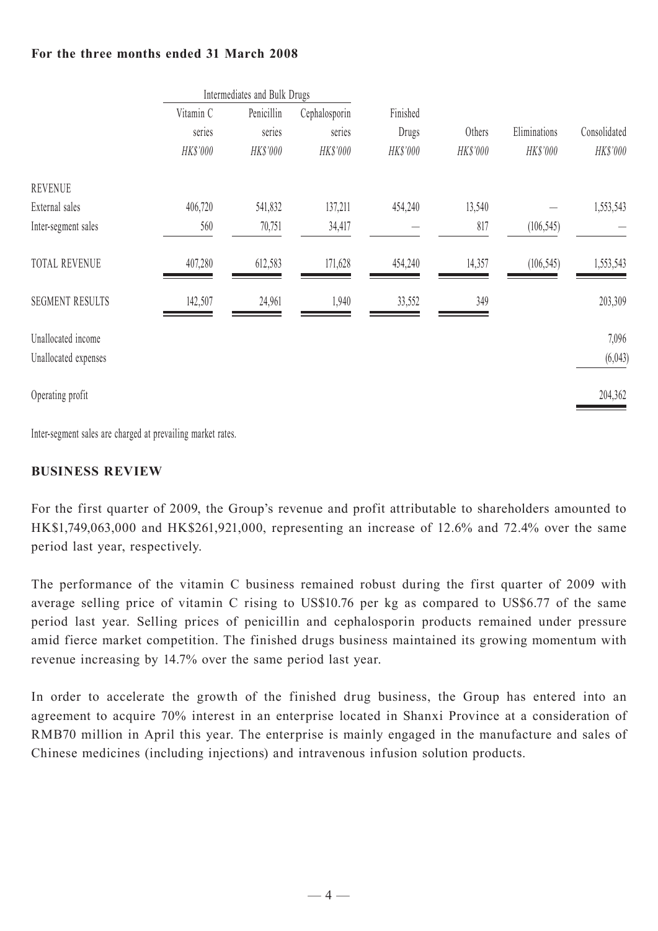## **For the three months ended 31 March 2008**

|                        | Intermediates and Bulk Drugs |            |               |          |          |              |              |
|------------------------|------------------------------|------------|---------------|----------|----------|--------------|--------------|
|                        | Vitamin C                    | Penicillin | Cephalosporin | Finished |          |              |              |
|                        | series                       | series     | series        | Drugs    | Others   | Eliminations | Consolidated |
|                        | HK\$'000                     | HK\$'000   | HK\$'000      | HK\$'000 | HK\$'000 | HK\$'000     | HK\$'000     |
| <b>REVENUE</b>         |                              |            |               |          |          |              |              |
| External sales         | 406,720                      | 541,832    | 137,211       | 454,240  | 13,540   |              | 1,553,543    |
| Inter-segment sales    | 560                          | 70,751     | 34,417        |          | 817      | (106, 545)   |              |
| <b>TOTAL REVENUE</b>   | 407,280                      | 612,583    | 171,628       | 454,240  | 14,357   | (106, 545)   | 1,553,543    |
| <b>SEGMENT RESULTS</b> | 142,507                      | 24,961     | 1,940         | 33,552   | 349      |              | 203,309      |
| Unallocated income     |                              |            |               |          |          |              | 7,096        |
| Unallocated expenses   |                              |            |               |          |          |              | (6,043)      |
| Operating profit       |                              |            |               |          |          |              | 204,362      |

Inter-segment sales are charged at prevailing market rates.

## **BUSINESS REVIEW**

For the first quarter of 2009, the Group's revenue and profit attributable to shareholders amounted to HK\$1,749,063,000 and HK\$261,921,000, representing an increase of 12.6% and 72.4% over the same period last year, respectively.

The performance of the vitamin C business remained robust during the first quarter of 2009 with average selling price of vitamin C rising to US\$10.76 per kg as compared to US\$6.77 of the same period last year. Selling prices of penicillin and cephalosporin products remained under pressure amid fierce market competition. The finished drugs business maintained its growing momentum with revenue increasing by 14.7% over the same period last year.

In order to accelerate the growth of the finished drug business, the Group has entered into an agreement to acquire 70% interest in an enterprise located in Shanxi Province at a consideration of RMB70 million in April this year. The enterprise is mainly engaged in the manufacture and sales of Chinese medicines (including injections) and intravenous infusion solution products.